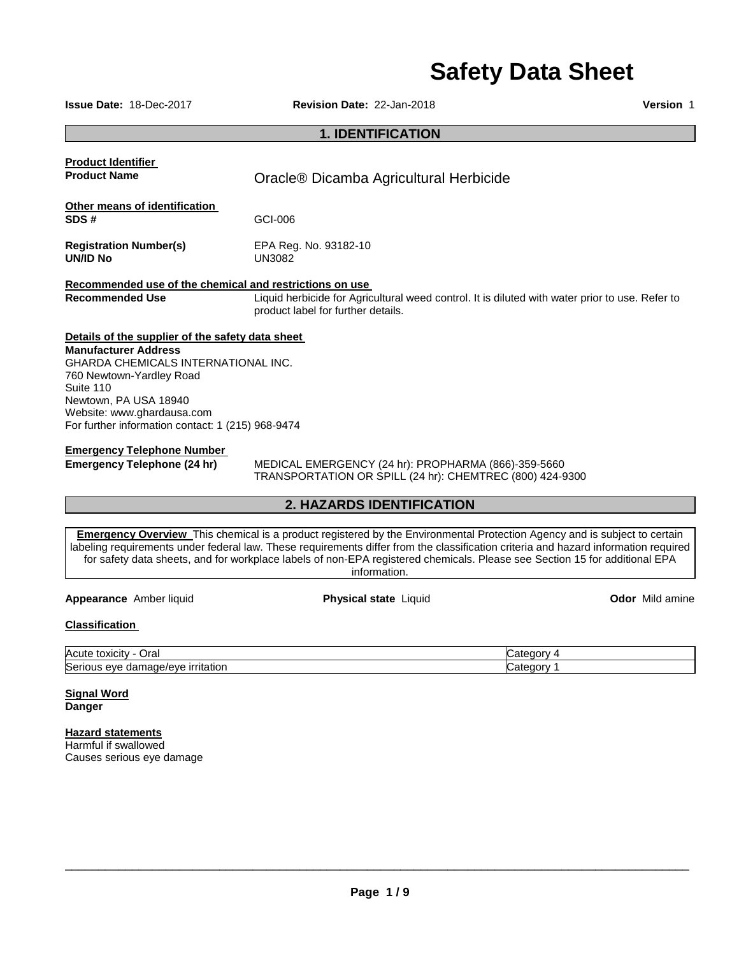# **Safety Data Sheet**

**Issue Date:** 18-Dec-2017 **Revision Date:** 22-Jan-2018 **Version** 1

# **1. IDENTIFICATION**

| <b>Product Identifier</b><br><b>Product Name</b>        | Oracle <sup>®</sup> Dicamba Agricultural Herbicide                                                                                    |
|---------------------------------------------------------|---------------------------------------------------------------------------------------------------------------------------------------|
| Other means of identification                           |                                                                                                                                       |
| SDS#                                                    | GCI-006                                                                                                                               |
| <b>Registration Number(s)</b><br><b>UN/ID No</b>        | EPA Reg. No. 93182-10<br>UN3082                                                                                                       |
| Recommended use of the chemical and restrictions on use |                                                                                                                                       |
| <b>Recommended Use</b>                                  | Liquid herbicide for Agricultural weed control. It is diluted with water prior to use. Refer to<br>product label for further details. |
| Details of the supplier of the safety data sheet        |                                                                                                                                       |
| <b>Manufacturer Address</b>                             |                                                                                                                                       |
| <b>GHARDA CHEMICALS INTERNATIONAL INC.</b>              |                                                                                                                                       |
| 760 Newtown-Yardley Road<br>Suite 110                   |                                                                                                                                       |
| Newtown, PA USA 18940                                   |                                                                                                                                       |
| Website: www.ghardausa.com                              |                                                                                                                                       |
| For further information contact: 1 (215) 968-9474       |                                                                                                                                       |
| <b>Emergency Telephone Number</b>                       |                                                                                                                                       |
| Emergency Telephone (24 hr)                             | MEDICAL EMERGENCY (24 hr): PROPHARMA (866)-359-5660                                                                                   |

TRANSPORTATION OR SPILL (24 hr): CHEMTREC (800) 424-9300

# **2. HAZARDS IDENTIFICATION**

**Emergency Overview** This chemical is a product registered by the Environmental Protection Agency and is subject to certain labeling requirements under federal law. These requirements differ from the classification criteria and hazard information required for safety data sheets, and for workplace labels of non-EPA registered chemicals. Please see Section 15 for additional EPA information.

**Appearance** Amber liquid **Physical state** Liquid **Odor** Mild amine

# **Classification**

| Acute<br>Ora<br>toxicity                                                           | . . |
|------------------------------------------------------------------------------------|-----|
| ∽<br><b>irritation</b><br><b>AVE</b><br>eve<br>.<br>ייי<br>∽~<br>oamaoe<br>הטסויי. | . . |

#### **Signal Word Danger**

# **Hazard statements**

Harmful if swallowed Causes serious eye damage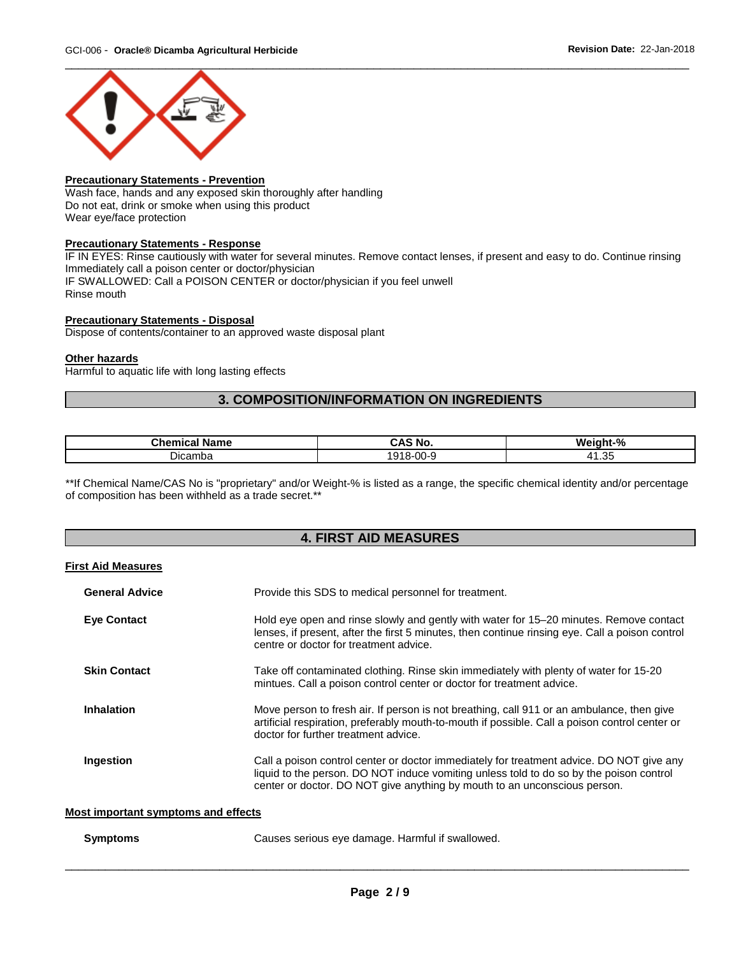

# **Precautionary Statements - Prevention**

Wash face, hands and any exposed skin thoroughly after handling Do not eat, drink or smoke when using this product Wear eye/face protection

# **Precautionary Statements - Response**

IF IN EYES: Rinse cautiously with water for several minutes. Remove contact lenses, if present and easy to do. Continue rinsing Immediately call a poison center or doctor/physician IF SWALLOWED: Call a POISON CENTER or doctor/physician if you feel unwell Rinse mouth

# **Precautionary Statements - Disposal**

Dispose of contents/container to an approved waste disposal plant

# **Other hazards**

Harmful to aquatic life with long lasting effects

# **3. COMPOSITION/INFORMATION ON INGREDIENTS**

| <b>Chemic</b><br><b>Name</b> | AC<br>ີ No.<br>- 11    | w<br>.<br>7٥                        |
|------------------------------|------------------------|-------------------------------------|
| Dicamba                      | u.<br>.<br>$\sim$<br>w | .35<br>$\Lambda$ <sup>1</sup><br>-- |

\*\*If Chemical Name/CAS No is "proprietary" and/or Weight-% is listed as a range, the specific chemical identity and/or percentage of composition has been withheld as a trade secret.\*\*

# **4. FIRST AID MEASURES**

# **First Aid Measures**

| <b>General Advice</b> | Provide this SDS to medical personnel for treatment.                                                                                                                                                                                                             |
|-----------------------|------------------------------------------------------------------------------------------------------------------------------------------------------------------------------------------------------------------------------------------------------------------|
| <b>Eve Contact</b>    | Hold eye open and rinse slowly and gently with water for 15-20 minutes. Remove contact<br>lenses, if present, after the first 5 minutes, then continue rinsing eye. Call a poison control<br>centre or doctor for treatment advice.                              |
| <b>Skin Contact</b>   | Take off contaminated clothing. Rinse skin immediately with plenty of water for 15-20<br>mintues. Call a poison control center or doctor for treatment advice.                                                                                                   |
| <b>Inhalation</b>     | Move person to fresh air. If person is not breathing, call 911 or an ambulance, then give<br>artificial respiration, preferably mouth-to-mouth if possible. Call a poison control center or<br>doctor for further treatment advice.                              |
| Ingestion             | Call a poison control center or doctor immediately for treatment advice. DO NOT give any<br>liquid to the person. DO NOT induce vomiting unless told to do so by the poison control<br>center or doctor. DO NOT give anything by mouth to an unconscious person. |

# **Most important symptoms and effects**

| Symptoms | Causes serious eye damage. Harmful if swallowed. |
|----------|--------------------------------------------------|
|          |                                                  |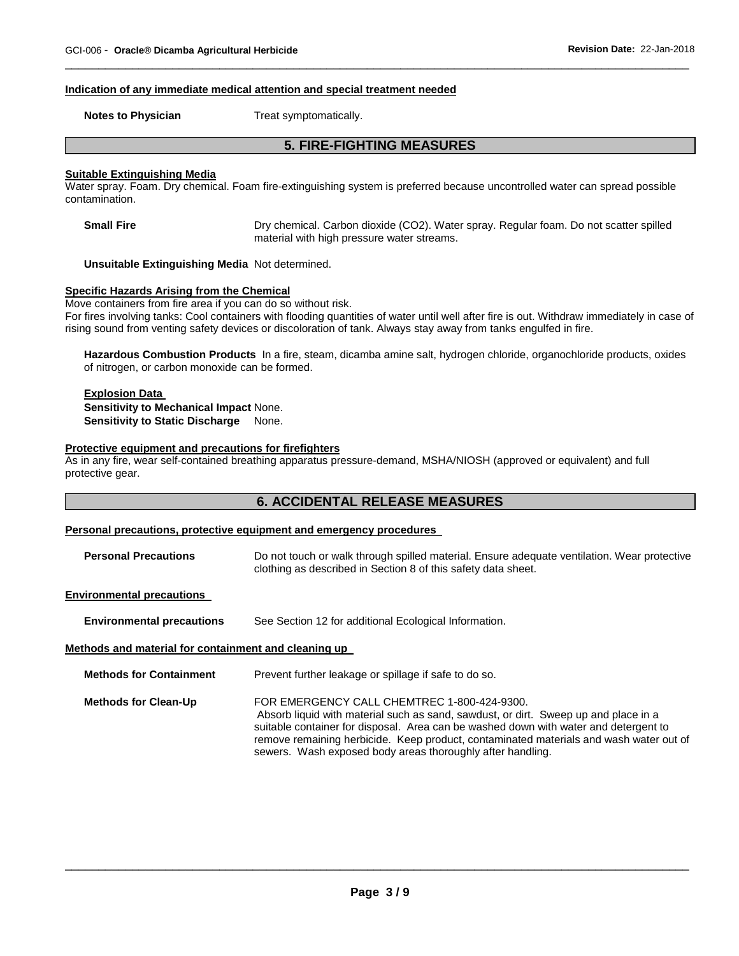#### **Indication of any immediate medical attention and special treatment needed**

**Notes to Physician**  Treat symptomatically.

# **5. FIRE-FIGHTING MEASURES**

\_\_\_\_\_\_\_\_\_\_\_\_\_\_\_\_\_\_\_\_\_\_\_\_\_\_\_\_\_\_\_\_\_\_\_\_\_\_\_\_\_\_\_\_\_\_\_\_\_\_\_\_\_\_\_\_\_\_\_\_\_\_\_\_\_\_\_\_\_\_\_\_\_\_\_\_\_\_\_\_\_\_\_\_\_\_\_\_\_\_\_\_\_

# **Suitable Extinguishing Media**

Water spray. Foam. Dry chemical. Foam fire-extinguishing system is preferred because uncontrolled water can spread possible contamination.

**Small Fire Dry chemical. Carbon dioxide (CO2). Water spray. Regular foam. Do not scatter spilled** material with high pressure water streams.

**Unsuitable Extinguishing Media** Not determined.

# **Specific Hazards Arising from the Chemical**

Move containers from fire area if you can do so without risk.

For fires involving tanks: Cool containers with flooding quantities of water until well after fire is out. Withdraw immediately in case of rising sound from venting safety devices or discoloration of tank. Always stay away from tanks engulfed in fire.

**Hazardous Combustion Products** In a fire, steam, dicamba amine salt, hydrogen chloride, organochloride products, oxides of nitrogen, or carbon monoxide can be formed.

# **Explosion Data Sensitivity to Mechanical Impact** None. **Sensitivity to Static Discharge None.**

#### **Protective equipment and precautions for firefighters**

As in any fire, wear self-contained breathing apparatus pressure-demand, MSHA/NIOSH (approved or equivalent) and full protective gear.

# **6. ACCIDENTAL RELEASE MEASURES**

# **Personal precautions, protective equipment and emergency procedures**

**Personal Precautions** Do not touch or walk through spilled material. Ensure adequate ventilation. Wear protective clothing as described in Section 8 of this safety data sheet.

#### **Environmental precautions**

**Environmental precautions** See Section 12 for additional Ecological Information.

#### **Methods and material for containment and cleaning up**

| <b>Methods for Containment</b> | Prevent further leakage or spillage if safe to do so.                                                                                                                                                                                                                                                                                                                              |
|--------------------------------|------------------------------------------------------------------------------------------------------------------------------------------------------------------------------------------------------------------------------------------------------------------------------------------------------------------------------------------------------------------------------------|
| <b>Methods for Clean-Up</b>    | FOR EMERGENCY CALL CHEMTREC 1-800-424-9300.<br>Absorb liquid with material such as sand, sawdust, or dirt. Sweep up and place in a<br>suitable container for disposal. Area can be washed down with water and detergent to<br>remove remaining herbicide. Keep product, contaminated materials and wash water out of<br>sewers. Wash exposed body areas thoroughly after handling. |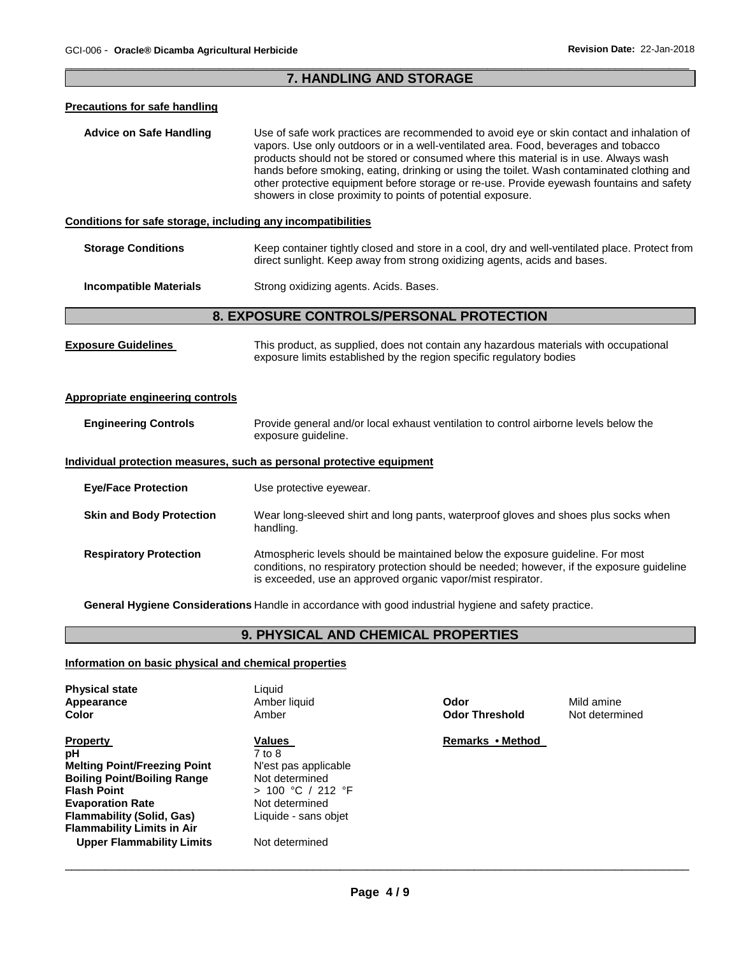# \_\_\_\_\_\_\_\_\_\_\_\_\_\_\_\_\_\_\_\_\_\_\_\_\_\_\_\_\_\_\_\_\_\_\_\_\_\_\_\_\_\_\_\_\_\_\_\_\_\_\_\_\_\_\_\_\_\_\_\_\_\_\_\_\_\_\_\_\_\_\_\_\_\_\_\_\_\_\_\_\_\_\_\_\_\_\_\_\_\_\_\_\_ **7. HANDLING AND STORAGE**

| <b>Precautions for safe handling</b>                         |                                                                                                                                                                                                                                                                                                                                                                                                                                                                                                                                    |  |
|--------------------------------------------------------------|------------------------------------------------------------------------------------------------------------------------------------------------------------------------------------------------------------------------------------------------------------------------------------------------------------------------------------------------------------------------------------------------------------------------------------------------------------------------------------------------------------------------------------|--|
| <b>Advice on Safe Handling</b>                               | Use of safe work practices are recommended to avoid eye or skin contact and inhalation of<br>vapors. Use only outdoors or in a well-ventilated area. Food, beverages and tobacco<br>products should not be stored or consumed where this material is in use. Always wash<br>hands before smoking, eating, drinking or using the toilet. Wash contaminated clothing and<br>other protective equipment before storage or re-use. Provide eyewash fountains and safety<br>showers in close proximity to points of potential exposure. |  |
| Conditions for safe storage, including any incompatibilities |                                                                                                                                                                                                                                                                                                                                                                                                                                                                                                                                    |  |
| <b>Storage Conditions</b>                                    | Keep container tightly closed and store in a cool, dry and well-ventilated place. Protect from<br>direct sunlight. Keep away from strong oxidizing agents, acids and bases.                                                                                                                                                                                                                                                                                                                                                        |  |
| <b>Incompatible Materials</b>                                | Strong oxidizing agents. Acids. Bases.                                                                                                                                                                                                                                                                                                                                                                                                                                                                                             |  |
| 8. EXPOSURE CONTROLS/PERSONAL PROTECTION                     |                                                                                                                                                                                                                                                                                                                                                                                                                                                                                                                                    |  |
| <b>Exposure Guidelines</b>                                   | This product, as supplied, does not contain any hazardous materials with occupational<br>exposure limits established by the region specific regulatory bodies                                                                                                                                                                                                                                                                                                                                                                      |  |
| <b>Appropriate engineering controls</b>                      |                                                                                                                                                                                                                                                                                                                                                                                                                                                                                                                                    |  |
| <b>Engineering Controls</b>                                  | Provide general and/or local exhaust ventilation to control airborne levels below the<br>exposure guideline.                                                                                                                                                                                                                                                                                                                                                                                                                       |  |
|                                                              | Individual protection measures, such as personal protective equipment                                                                                                                                                                                                                                                                                                                                                                                                                                                              |  |
| <b>Eye/Face Protection</b>                                   | Use protective eyewear.                                                                                                                                                                                                                                                                                                                                                                                                                                                                                                            |  |
| <b>Skin and Body Protection</b>                              | Wear long-sleeved shirt and long pants, waterproof gloves and shoes plus socks when<br>handling.                                                                                                                                                                                                                                                                                                                                                                                                                                   |  |
| <b>Respiratory Protection</b>                                | Atmospheric levels should be maintained below the exposure guideline. For most<br>conditions, no respiratory protection should be needed; however, if the exposure guideline<br>is exceeded, use an approved organic vapor/mist respirator.                                                                                                                                                                                                                                                                                        |  |

**General Hygiene Considerations** Handle in accordance with good industrial hygiene and safety practice.

# **9. PHYSICAL AND CHEMICAL PROPERTIES**

# **Information on basic physical and chemical properties**

| <b>Physical state</b><br>Appearance<br>Color | Liauid<br>Amber liquid<br>Amber | Odor<br><b>Odor Threshold</b> | Mild amine<br>Not determined |
|----------------------------------------------|---------------------------------|-------------------------------|------------------------------|
| <b>Property</b>                              | <b>Values</b>                   | Remarks • Method              |                              |
| рH                                           | 7 to 8                          |                               |                              |
| <b>Melting Point/Freezing Point</b>          | N'est pas applicable            |                               |                              |
| <b>Boiling Point/Boiling Range</b>           | Not determined                  |                               |                              |
| <b>Flash Point</b>                           | $> 100$ °C / 212 °F             |                               |                              |
| <b>Evaporation Rate</b>                      | Not determined                  |                               |                              |
| <b>Flammability (Solid, Gas)</b>             | Liquide - sans objet            |                               |                              |
| <b>Flammability Limits in Air</b>            |                                 |                               |                              |
| <b>Upper Flammability Limits</b>             | Not determined                  |                               |                              |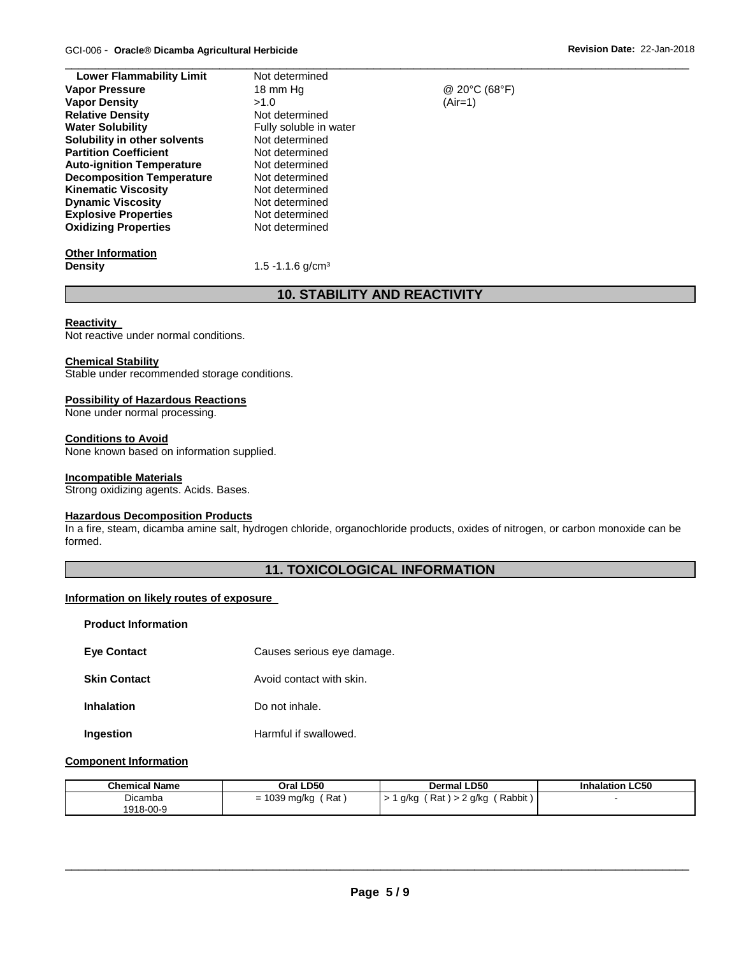| <b>Lower Flammability Limit</b>  | Not determined         |               |  |
|----------------------------------|------------------------|---------------|--|
| <b>Vapor Pressure</b>            | 18 mm Hg               | @ 20°C (68°F) |  |
| <b>Vapor Density</b>             | >1.0                   | $(Air=1)$     |  |
| <b>Relative Density</b>          | Not determined         |               |  |
| <b>Water Solubility</b>          | Fully soluble in water |               |  |
| Solubility in other solvents     | Not determined         |               |  |
| <b>Partition Coefficient</b>     | Not determined         |               |  |
| <b>Auto-ignition Temperature</b> | Not determined         |               |  |
| <b>Decomposition Temperature</b> | Not determined         |               |  |
| <b>Kinematic Viscosity</b>       | Not determined         |               |  |
| <b>Dynamic Viscosity</b>         | Not determined         |               |  |
| <b>Explosive Properties</b>      | Not determined         |               |  |
| <b>Oxidizing Properties</b>      | Not determined         |               |  |
| <b>Other Information</b>         |                        |               |  |
|                                  |                        |               |  |

# **Density 1.5 -1.1.6 g/cm<sup>3</sup>**

# **10. STABILITY AND REACTIVITY**

# **Reactivity**

Not reactive under normal conditions.

# **Chemical Stability**

Stable under recommended storage conditions.

# **Possibility of Hazardous Reactions**

None under normal processing.

# **Conditions to Avoid**

None known based on information supplied.

# **Incompatible Materials**

Strong oxidizing agents. Acids. Bases.

# **Hazardous Decomposition Products**

In a fire, steam, dicamba amine salt, hydrogen chloride, organochloride products, oxides of nitrogen, or carbon monoxide can be formed.

# **11. TOXICOLOGICAL INFORMATION**

# **Information on likely routes of exposure**

| <b>Product Information</b> |                            |
|----------------------------|----------------------------|
| <b>Eye Contact</b>         | Causes serious eye damage. |
| <b>Skin Contact</b>        | Avoid contact with skin.   |
| <b>Inhalation</b>          | Do not inhale.             |
|                            |                            |

# **Ingestion Harmful if swallowed.**

# **Component Information**

| <b>Chemical Name</b> | Oral LD50         | <b>Dermal LD50</b>                       | <b>Inhalation LC50</b> |
|----------------------|-------------------|------------------------------------------|------------------------|
| Dicamba              | Rat<br>1039 mg/kg | Rabbit)<br>Rat,<br>2 g/kg<br>g/kg<br>> 2 |                        |
| 1918-00-9            |                   |                                          |                        |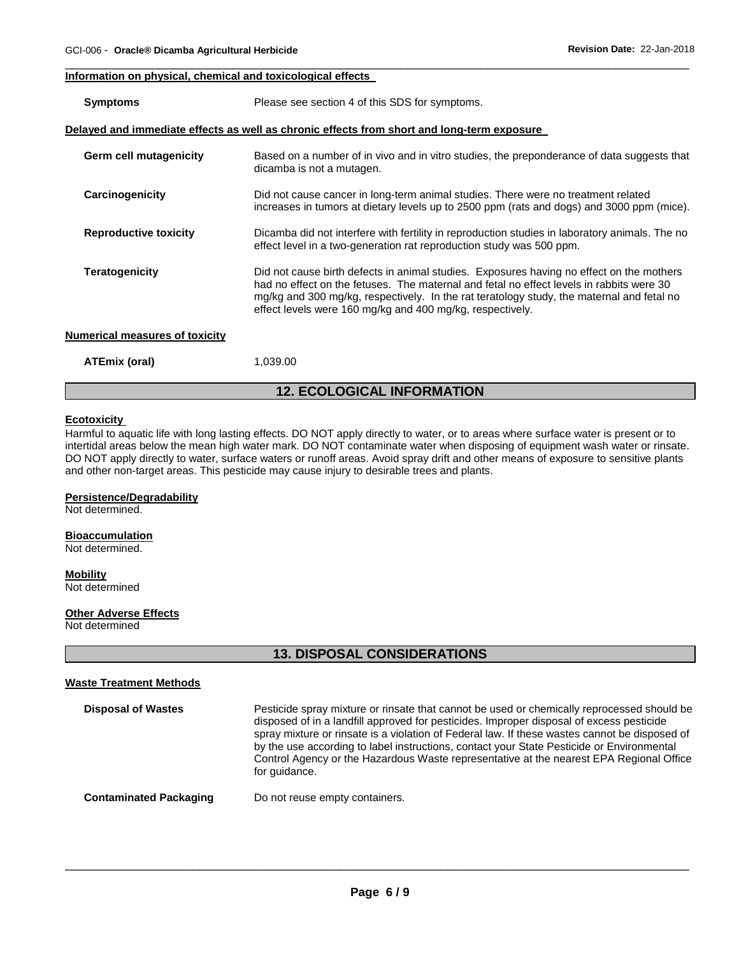# **Information on physical, chemical and toxicological effects**

| <b>Symptoms</b>                | Please see section 4 of this SDS for symptoms.                                                                                                                                                                                                                                                                                                 |
|--------------------------------|------------------------------------------------------------------------------------------------------------------------------------------------------------------------------------------------------------------------------------------------------------------------------------------------------------------------------------------------|
|                                | Delayed and immediate effects as well as chronic effects from short and long-term exposure                                                                                                                                                                                                                                                     |
| Germ cell mutagenicity         | Based on a number of in vivo and in vitro studies, the preponderance of data suggests that<br>dicamba is not a mutagen.                                                                                                                                                                                                                        |
| Carcinogenicity                | Did not cause cancer in long-term animal studies. There were no treatment related<br>increases in tumors at dietary levels up to 2500 ppm (rats and dogs) and 3000 ppm (mice).                                                                                                                                                                 |
| <b>Reproductive toxicity</b>   | Dicamba did not interfere with fertility in reproduction studies in laboratory animals. The no<br>effect level in a two-generation rat reproduction study was 500 ppm.                                                                                                                                                                         |
| <b>Teratogenicity</b>          | Did not cause birth defects in animal studies. Exposures having no effect on the mothers<br>had no effect on the fetuses. The maternal and fetal no effect levels in rabbits were 30<br>mg/kg and 300 mg/kg, respectively. In the rat teratology study, the maternal and fetal no<br>effect levels were 160 mg/kg and 400 mg/kg, respectively. |
| Numerical measures of toxicity |                                                                                                                                                                                                                                                                                                                                                |
| ATEmix (oral)                  | 1,039.00                                                                                                                                                                                                                                                                                                                                       |

\_\_\_\_\_\_\_\_\_\_\_\_\_\_\_\_\_\_\_\_\_\_\_\_\_\_\_\_\_\_\_\_\_\_\_\_\_\_\_\_\_\_\_\_\_\_\_\_\_\_\_\_\_\_\_\_\_\_\_\_\_\_\_\_\_\_\_\_\_\_\_\_\_\_\_\_\_\_\_\_\_\_\_\_\_\_\_\_\_\_\_\_\_

# **12. ECOLOGICAL INFORMATION**

# **Ecotoxicity**

Harmful to aquatic life with long lasting effects. DO NOT apply directly to water, or to areas where surface water is present or to intertidal areas below the mean high water mark. DO NOT contaminate water when disposing of equipment wash water or rinsate. DO NOT apply directly to water, surface waters or runoff areas. Avoid spray drift and other means of exposure to sensitive plants and other non-target areas. This pesticide may cause injury to desirable trees and plants.

# **Persistence/Degradability**

Not determined.

#### **Bioaccumulation**

Not determined.

# **Mobility**

Not determined

# **Other Adverse Effects**

Not determined

# **13. DISPOSAL CONSIDERATIONS**

#### **Waste Treatment Methods**

| <b>Disposal of Wastes</b>     | Pesticide spray mixture or rinsate that cannot be used or chemically reprocessed should be<br>disposed of in a landfill approved for pesticides. Improper disposal of excess pesticide<br>spray mixture or rinsate is a violation of Federal law. If these wastes cannot be disposed of<br>by the use according to label instructions, contact your State Pesticide or Environmental<br>Control Agency or the Hazardous Waste representative at the nearest EPA Regional Office<br>for quidance. |
|-------------------------------|--------------------------------------------------------------------------------------------------------------------------------------------------------------------------------------------------------------------------------------------------------------------------------------------------------------------------------------------------------------------------------------------------------------------------------------------------------------------------------------------------|
| <b>Contaminated Packaging</b> | Do not reuse empty containers.                                                                                                                                                                                                                                                                                                                                                                                                                                                                   |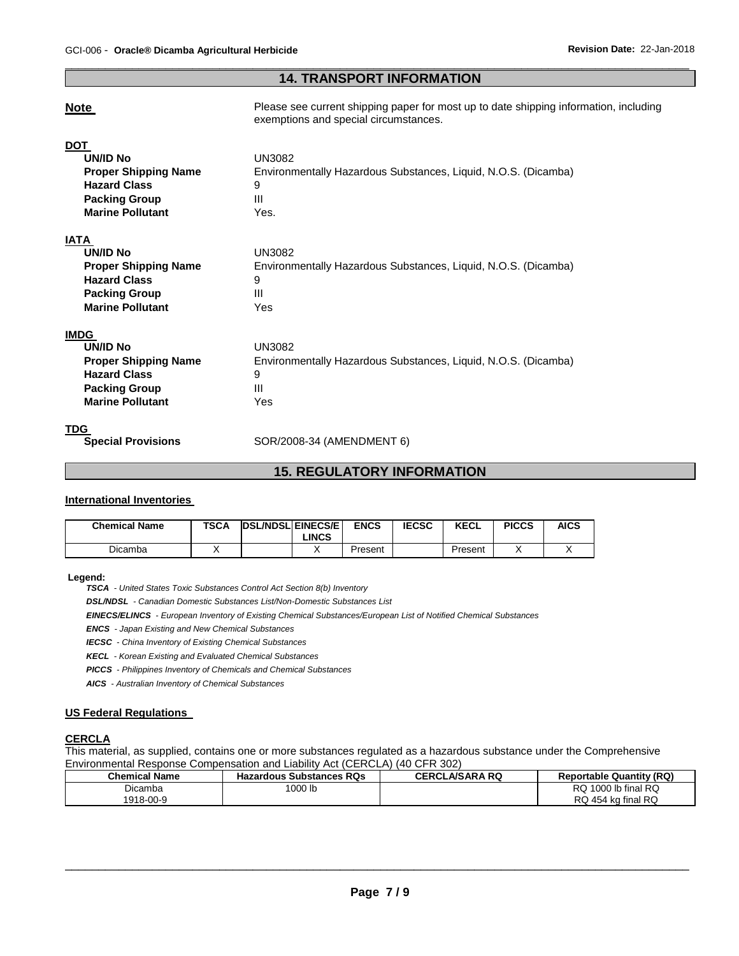# \_\_\_\_\_\_\_\_\_\_\_\_\_\_\_\_\_\_\_\_\_\_\_\_\_\_\_\_\_\_\_\_\_\_\_\_\_\_\_\_\_\_\_\_\_\_\_\_\_\_\_\_\_\_\_\_\_\_\_\_\_\_\_\_\_\_\_\_\_\_\_\_\_\_\_\_\_\_\_\_\_\_\_\_\_\_\_\_\_\_\_\_\_ **14. TRANSPORT INFORMATION**

**Note Please see current shipping paper for most up to date shipping information, including** exemptions and special circumstances.

| <b>DOT</b>                  |                                                                |
|-----------------------------|----------------------------------------------------------------|
| UN/ID No                    | UN3082                                                         |
| <b>Proper Shipping Name</b> | Environmentally Hazardous Substances, Liquid, N.O.S. (Dicamba) |
| <b>Hazard Class</b>         | 9                                                              |
| <b>Packing Group</b>        | $\mathbf{III}$                                                 |
| <b>Marine Pollutant</b>     | Yes.                                                           |
| <b>IATA</b>                 |                                                                |
| UN/ID No                    | UN3082                                                         |
| <b>Proper Shipping Name</b> | Environmentally Hazardous Substances, Liquid, N.O.S. (Dicamba) |
| <b>Hazard Class</b>         | 9                                                              |
| <b>Packing Group</b>        | Ш                                                              |
| <b>Marine Pollutant</b>     | Yes                                                            |
| <b>IMDG</b>                 |                                                                |
| UN/ID No                    | UN3082                                                         |
| <b>Proper Shipping Name</b> | Environmentally Hazardous Substances, Liquid, N.O.S. (Dicamba) |
| <b>Hazard Class</b>         | 9                                                              |
| <b>Packing Group</b>        | $\mathbf{III}$                                                 |
| <b>Marine Pollutant</b>     | Yes.                                                           |
|                             |                                                                |

**TDG**<br> **Special Provisions** 

**Special Provisions** SOR/2008-34 (AMENDMENT 6)

# **15. REGULATORY INFORMATION**

#### **International Inventories**

| <b>Chemical Name</b> | <b>TSCA</b> | <b>DSL/NDSL EINECS/E</b> | LINCS | <b>ENCS</b> | <b>IECSC</b> | <b>KECL</b> | <b>PICCS</b> | AICS |
|----------------------|-------------|--------------------------|-------|-------------|--------------|-------------|--------------|------|
| Dicamba              |             |                          |       | Present     |              | Present     |              |      |

# **Legend:**

*TSCA - United States Toxic Substances Control Act Section 8(b) Inventory* 

*DSL/NDSL - Canadian Domestic Substances List/Non-Domestic Substances List* 

*EINECS/ELINCS - European Inventory of Existing Chemical Substances/European List of Notified Chemical Substances* 

*ENCS - Japan Existing and New Chemical Substances* 

*IECSC - China Inventory of Existing Chemical Substances* 

*KECL - Korean Existing and Evaluated Chemical Substances* 

*PICCS - Philippines Inventory of Chemicals and Chemical Substances* 

*AICS - Australian Inventory of Chemical Substances* 

# **US Federal Regulations**

# **CERCLA**

This material, as supplied, contains one or more substances regulated as a hazardous substance under the Comprehensive Environmental Response Compensation and Liability Act (CERCLA) (40 CFR 302)

| <b>Chemical Name</b> | <b>Hazardous Substances RQs</b> | <b>CERCLA/SARA RQ</b> | <b>Reportable Quantity (RQ)</b> |
|----------------------|---------------------------------|-----------------------|---------------------------------|
| Dicamba              | 1000 lb                         |                       | <b>RQ</b><br>1000 lb final $RQ$ |
| 1918-00-9            |                                 |                       | RQ 454 kg final RQ              |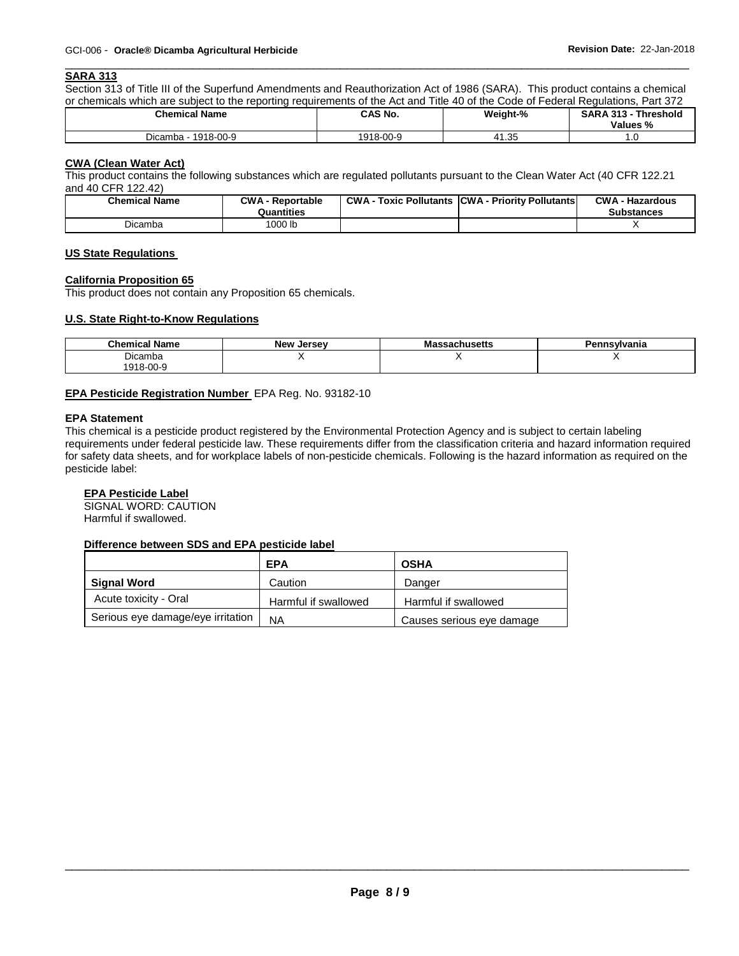#### \_\_\_\_\_\_\_\_\_\_\_\_\_\_\_\_\_\_\_\_\_\_\_\_\_\_\_\_\_\_\_\_\_\_\_\_\_\_\_\_\_\_\_\_\_\_\_\_\_\_\_\_\_\_\_\_\_\_\_\_\_\_\_\_\_\_\_\_\_\_\_\_\_\_\_\_\_\_\_\_\_\_\_\_\_\_\_\_\_\_\_\_\_ **SARA 313**

Section 313 of Title III of the Superfund Amendments and Reauthorization Act of 1986 (SARA). This product contains a chemical or chemicals which are subject to the reporting requirements of the Act and Title 40 of the Code of Federal Regulations, Part 372

| <b>Chemical Name</b>   | <b>CAS No.</b> | Weight-%    | <b>SARA 313 -</b><br><b>Threshold</b><br>Values % |
|------------------------|----------------|-------------|---------------------------------------------------|
| 1918-00-9<br>Dicamba - | 1918-00-9      | 25<br>41.35 | $\cdot$ $\cdot$                                   |

# **CWA (Clean Water Act)**

This product contains the following substances which are regulated pollutants pursuant to the Clean Water Act (40 CFR 122.21 and 40 CFR 122.42)

| <b>Chemical Name</b> | <b>CWA - Reportable</b><br>Quantities | CWA- | · Toxic Pollutants CCWA - Priority Pollutants | <b>CWA - Hazardous</b><br><b>Substances</b> |
|----------------------|---------------------------------------|------|-----------------------------------------------|---------------------------------------------|
| Dicamba              | 1000 lb                               |      |                                               |                                             |

# **US State Regulations**

# **California Proposition 65**

This product does not contain any Proposition 65 chemicals.

# **U.S. State Right-to-Know Regulations**

| .<br><b>Chemical Name</b> | . .<br><b>New</b><br>. Jersev | ssachusetts<br>ша | ennsvlvania<br>™⊶ |
|---------------------------|-------------------------------|-------------------|-------------------|
| Dicamba                   |                               |                   |                   |
| 1918-00-9                 |                               |                   |                   |

# **EPA Pesticide Registration Number** EPA Reg. No. 93182-10

# **EPA Statement**

This chemical is a pesticide product registered by the Environmental Protection Agency and is subject to certain labeling requirements under federal pesticide law. These requirements differ from the classification criteria and hazard information required for safety data sheets, and for workplace labels of non-pesticide chemicals. Following is the hazard information as required on the pesticide label:

# **EPA Pesticide Label**

SIGNAL WORD: CAUTION Harmful if swallowed.

# **Difference between SDS and EPA pesticide label**

|                                   | <b>EPA</b>           | <b>OSHA</b>               |
|-----------------------------------|----------------------|---------------------------|
| <b>Signal Word</b>                | Caution              | Danger                    |
| Acute toxicity - Oral             | Harmful if swallowed | Harmful if swallowed      |
| Serious eye damage/eye irritation | ΝA                   | Causes serious eye damage |